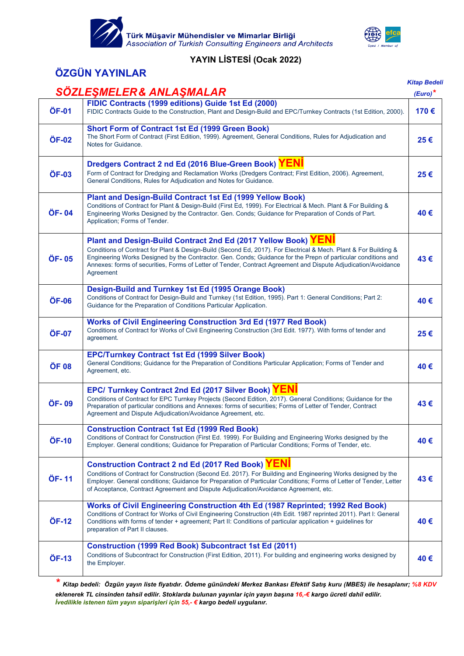



## **ÖZGÜN YAYINLAR**

| SÖZLEŞMELER & ANLAŞMALAR<br>FIDIC Contracts (1999 editions) Guide 1st Ed (2000)<br>ÖF-01<br>FIDIC Contracts Guide to the Construction, Plant and Design-Build and EPC/Turnkey Contracts (1st Edition, 2000).                                                                                                                                                                                                                                | $(Euro)^*$<br>170€ |
|---------------------------------------------------------------------------------------------------------------------------------------------------------------------------------------------------------------------------------------------------------------------------------------------------------------------------------------------------------------------------------------------------------------------------------------------|--------------------|
|                                                                                                                                                                                                                                                                                                                                                                                                                                             |                    |
|                                                                                                                                                                                                                                                                                                                                                                                                                                             |                    |
| <b>Short Form of Contract 1st Ed (1999 Green Book)</b><br>The Short Form of Contract (First Edition, 1999). Agreement, General Conditions, Rules for Adjudication and<br>ÖF-02<br>Notes for Guidance.                                                                                                                                                                                                                                       | 25€                |
| Dredgers Contract 2 nd Ed (2016 Blue-Green Book) YENI<br>Form of Contract for Dredging and Reclamation Works (Dredgers Contract; First Edition, 2006). Agreement,<br>ÖF-03<br>General Conditions, Rules for Adjudication and Notes for Guidance.                                                                                                                                                                                            | 25€                |
| <b>Plant and Design-Build Contract 1st Ed (1999 Yellow Book)</b><br>Conditions of Contract for Plant & Design-Build (First Ed, 1999). For Electrical & Mech. Plant & For Building &<br>ÖF-04<br>Engineering Works Designed by the Contractor. Gen. Conds; Guidance for Preparation of Conds of Part.<br>Application; Forms of Tender.                                                                                                       | 40€                |
| Plant and Design-Build Contract 2nd Ed (2017 Yellow Book) YENI<br>Conditions of Contract for Plant & Design-Build (Second Ed, 2017). For Electrical & Mech. Plant & For Building &<br>Engineering Works Designed by the Contractor. Gen. Conds; Guidance for the Prepn of particular conditions and<br>ÖF-05<br>Annexes: forms of securities, Forms of Letter of Tender, Contract Agreement and Dispute Adjudication/Avoidance<br>Agreement | 43€                |
| Design-Build and Turnkey 1st Ed (1995 Orange Book)<br>Conditions of Contract for Design-Build and Turnkey (1st Edition, 1995). Part 1: General Conditions; Part 2:<br>ÖF-06<br>Guidance for the Preparation of Conditions Particular Application.                                                                                                                                                                                           | 40€                |
| <b>Works of Civil Engineering Construction 3rd Ed (1977 Red Book)</b><br>Conditions of Contract for Works of Civil Engineering Construction (3rd Edit. 1977). With forms of tender and<br>ÖF-07<br>agreement.                                                                                                                                                                                                                               | 25€                |
| <b>EPC/Turnkey Contract 1st Ed (1999 Silver Book)</b><br>General Conditions; Guidance for the Preparation of Conditions Particular Application; Forms of Tender and<br>ÖF 08<br>Agreement, etc.                                                                                                                                                                                                                                             | 40€                |
| EPC/ Turnkey Contract 2nd Ed (2017 Silver Book) YENI<br>Conditions of Contract for EPC Turnkey Projects (Second Edition, 2017). General Conditions; Guidance for the<br>ÖF-09<br>Preparation of particular conditions and Annexes: forms of securities; Forms of Letter of Tender, Contract<br>Agreement and Dispute Adjudication/Avoidance Agreement, etc.                                                                                 | 43€                |
| <b>Construction Contract 1st Ed (1999 Red Book)</b><br>Conditions of Contract for Construction (First Ed. 1999). For Building and Engineering Works designed by the<br>ÖF-10<br>Employer. General conditions; Guidance for Preparation of Particular Conditions; Forms of Tender, etc.                                                                                                                                                      | 40€                |
| Construction Contract 2 nd Ed (2017 Red Book) YENI<br>Conditions of Contract for Construction (Second Ed. 2017). For Building and Engineering Works designed by the<br>ÖF-11<br>Employer. General conditions; Guidance for Preparation of Particular Conditions; Forms of Letter of Tender, Letter<br>of Acceptance, Contract Agreement and Dispute Adjudication/Avoidance Agreement, etc.                                                  | 43€                |
| Works of Civil Engineering Construction 4th Ed (1987 Reprinted; 1992 Red Book)<br>Conditions of Contract for Works of Civil Engineering Construction (4th Edit. 1987 reprinted 2011). Part I: General<br>ÖF-12<br>Conditions with forms of tender + agreement; Part II: Conditions of particular application + guidelines for<br>preparation of Part II clauses.                                                                            | 40€                |
| <b>Construction (1999 Red Book) Subcontract 1st Ed (2011)</b><br>Conditions of Subcontract for Construction (First Edition, 2011). For building and engineering works designed by<br>ÖF-13<br>the Employer.                                                                                                                                                                                                                                 | 40€                |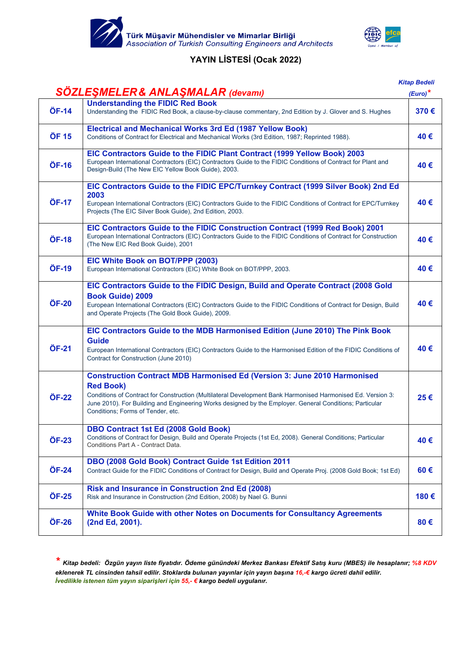



# *Kitap Bedeli*

|              | SÖZLEŞMELER & ANLAŞMALAR (devamı)                                                                                                                                                                                                                                                                                                                                  | $(Euro)^*$ |
|--------------|--------------------------------------------------------------------------------------------------------------------------------------------------------------------------------------------------------------------------------------------------------------------------------------------------------------------------------------------------------------------|------------|
| ÖF-14        | <b>Understanding the FIDIC Red Book</b><br>Understanding the FIDIC Red Book, a clause-by-clause commentary, 2nd Edition by J. Glover and S. Hughes                                                                                                                                                                                                                 | 370€       |
| ÖF 15        | <b>Electrical and Mechanical Works 3rd Ed (1987 Yellow Book)</b><br>Conditions of Contract for Electrical and Mechanical Works (3rd Edition, 1987; Reprinted 1988).                                                                                                                                                                                                | 40€        |
| ÖF-16        | EIC Contractors Guide to the FIDIC Plant Contract (1999 Yellow Book) 2003<br>European International Contractors (EIC) Contractors Guide to the FIDIC Conditions of Contract for Plant and<br>Design-Build (The New EIC Yellow Book Guide), 2003.                                                                                                                   | 40€        |
| ÖF-17        | EIC Contractors Guide to the FIDIC EPC/Turnkey Contract (1999 Silver Book) 2nd Ed<br>2003<br>European International Contractors (EIC) Contractors Guide to the FIDIC Conditions of Contract for EPC/Turnkey<br>Projects (The EIC Silver Book Guide), 2nd Edition, 2003.                                                                                            | 40€        |
| ÖF-18        | EIC Contractors Guide to the FIDIC Construction Contract (1999 Red Book) 2001<br>European International Contractors (EIC) Contractors Guide to the FIDIC Conditions of Contract for Construction<br>(The New EIC Red Book Guide), 2001                                                                                                                             | 40€        |
| ÖF-19        | EIC White Book on BOT/PPP (2003)<br>European International Contractors (EIC) White Book on BOT/PPP, 2003.                                                                                                                                                                                                                                                          | 40€        |
| ÖF-20        | EIC Contractors Guide to the FIDIC Design, Build and Operate Contract (2008 Gold<br><b>Book Guide) 2009</b><br>European International Contractors (EIC) Contractors Guide to the FIDIC Conditions of Contract for Design, Build<br>and Operate Projects (The Gold Book Guide), 2009.                                                                               | 40€        |
| ÖF-21        | EIC Contractors Guide to the MDB Harmonised Edition (June 2010) The Pink Book<br><b>Guide</b><br>European International Contractors (EIC) Contractors Guide to the Harmonised Edition of the FIDIC Conditions of<br>Contract for Construction (June 2010)                                                                                                          | 40€        |
| ÖF-22        | <b>Construction Contract MDB Harmonised Ed (Version 3: June 2010 Harmonised</b><br><b>Red Book)</b><br>Conditions of Contract for Construction (Multilateral Development Bank Harmonised Harmonised Ed. Version 3:<br>June 2010). For Building and Engineering Works designed by the Employer. General Conditions; Particular<br>Conditions; Forms of Tender, etc. | 25€        |
| <b>ÖF-23</b> | <b>DBO Contract 1st Ed (2008 Gold Book)</b><br>Conditions of Contract for Design, Build and Operate Projects (1st Ed, 2008). General Conditions; Particular<br>Conditions Part A - Contract Data.                                                                                                                                                                  | 40€        |
| ÖF-24        | DBO (2008 Gold Book) Contract Guide 1st Edition 2011<br>Contract Guide for the FIDIC Conditions of Contract for Design, Build and Operate Proj. (2008 Gold Book; 1st Ed)                                                                                                                                                                                           | $60 \in$   |
| ÖF-25        | <b>Risk and Insurance in Construction 2nd Ed (2008)</b><br>Risk and Insurance in Construction (2nd Edition, 2008) by Nael G. Bunni                                                                                                                                                                                                                                 | 180€       |
| ÖF-26        | White Book Guide with other Notes on Documents for Consultancy Agreements<br>(2nd Ed, 2001).                                                                                                                                                                                                                                                                       | 80€        |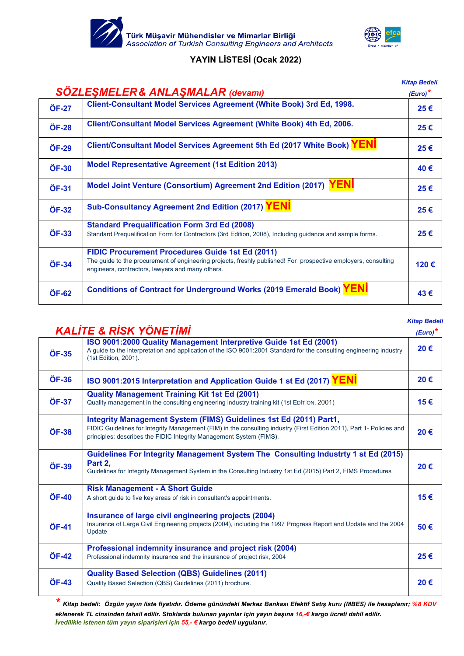



# *Kitap Bedeli SÖZLEŞMELER& ANLAŞMALAR (devamı) (Euro)\** **ÖF-27 Client-Consultant Model Services Agreement (White Book) 3rd Ed, 1998. 25 € ÖF-28 Client/Consultant Model Services Agreement (White Book) 4th Ed, 2006. 25 € ÖF-29 Client/Consultant Model Services Agreement 5th Ed (2017 White Book) YENİ 25 € ÖF-30 Model Representative Agreement (1st Edition 2013) 40 € ÖF-31 Model Joint Venture (Consortium) Agreement 2nd Edition (2017) YENİ 25 € ÖF-32 Sub-Consultancy Agreement 2nd Edition (2017) YENİ 25 € ÖF-33 Standard Prequalification Form 3rd Ed (2008)**  Standard Prequalification Form for Contractors (3rd Edition, 2008), Including guidance and sample forms. **25 € ÖF-34 FIDIC Procurement Procedures Guide 1st Ed (2011)** The guide to the procurement of engineering projects, freshly published! For prospective employers, consulting **120 €**<br>engineers, contractors, lawyers and many others. **ÖF-62 Conditions of Contract for Underground Works (2019 Emerald Book) YENİ 43 €**

#### *Kitap Bedeli*

|       | KALÍTE & RÍSK YÖNETÍMÍ                                                                                                                                                                                                                                             | $(Euro)^*$ |
|-------|--------------------------------------------------------------------------------------------------------------------------------------------------------------------------------------------------------------------------------------------------------------------|------------|
| ÖF-35 | ISO 9001:2000 Quality Management Interpretive Guide 1st Ed (2001)<br>A quide to the interpretation and application of the ISO 9001:2001 Standard for the consulting engineering industry<br>(1st Edition, 2001).                                                   | 20€        |
| ÖF-36 | ISO 9001:2015 Interpretation and Application Guide 1 st Ed (2017) YENI                                                                                                                                                                                             | 20€        |
| ÖF-37 | <b>Quality Management Training Kit 1st Ed (2001)</b><br>Quality management in the consulting engineering industry training kit (1st EDITION, 2001)                                                                                                                 | 15€        |
| ÖF-38 | Integrity Management System (FIMS) Guidelines 1st Ed (2011) Part1,<br>FIDIC Guidelines for Integrity Management (FIM) in the consulting industry (First Edition 2011), Part 1- Policies and<br>principles: describes the FIDIC Integrity Management System (FIMS). | 20€        |
| ÖF-39 | Guidelines For Integrity Management System The Consulting Industrty 1 st Ed (2015)<br>Part 2.<br>Guidelines for Integrity Management System in the Consulting Industry 1st Ed (2015) Part 2, FIMS Procedures                                                       | 20€        |
| ÖF-40 | <b>Risk Management - A Short Guide</b><br>A short quide to five key areas of risk in consultant's appointments.                                                                                                                                                    | 15€        |
| ÖF-41 | Insurance of large civil engineering projects (2004)<br>Insurance of Large Civil Engineering projects (2004), including the 1997 Progress Report and Update and the 2004<br>Update                                                                                 | 50€        |
| ÖF-42 | Professional indemnity insurance and project risk (2004)<br>Professional indemnity insurance and the insurance of project risk, 2004                                                                                                                               | 25€        |
| ÖF-43 | <b>Quality Based Selection (QBS) Guidelines (2011)</b><br>Quality Based Selection (QBS) Guidelines (2011) brochure.                                                                                                                                                | 20€        |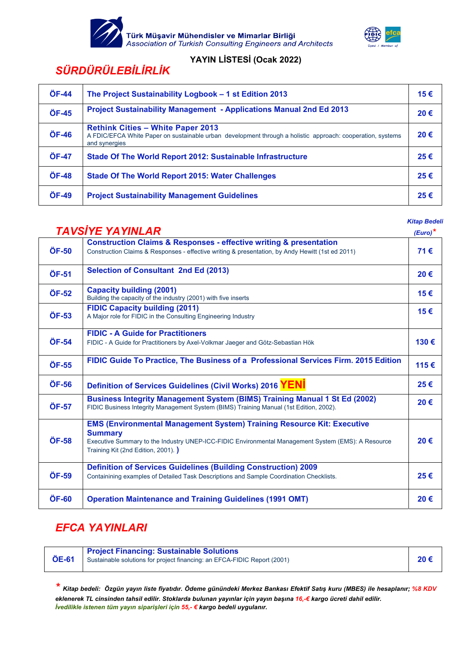



# *SÜRDÜRÜLEBİLİRLİK*

| <b>ÖF-44</b> | The Project Sustainability Logbook - 1 st Edition 2013                                                                                                                  | 15€ |
|--------------|-------------------------------------------------------------------------------------------------------------------------------------------------------------------------|-----|
| ÖF-45        | <b>Project Sustainability Management - Applications Manual 2nd Ed 2013</b>                                                                                              | 20€ |
| ÖF-46        | <b>Rethink Cities - White Paper 2013</b><br>A FDIC/EFCA White Paper on sustainable urban development through a holistic approach: cooperation, systems<br>and synergies | 20€ |
| <b>ÖF-47</b> | Stade Of The World Report 2012: Sustainable Infrastructure                                                                                                              | 25€ |
| <b>ÖF-48</b> | <b>Stade Of The World Report 2015: Water Challenges</b>                                                                                                                 | 25€ |
| ÖF-49        | <b>Project Sustainability Management Guidelines</b>                                                                                                                     | 25€ |

 *Kitap Bedeli* 

|       | <b>TAVSIYE YAYINLAR</b>                                                                                                                                                                                                                    | $(Euro)^*$ |
|-------|--------------------------------------------------------------------------------------------------------------------------------------------------------------------------------------------------------------------------------------------|------------|
| ÖF-50 | <b>Construction Claims &amp; Responses - effective writing &amp; presentation</b><br>Construction Claims & Responses - effective writing & presentation, by Andy Hewitt (1st ed 2011)                                                      | 71€        |
| ÖF-51 | Selection of Consultant 2nd Ed (2013)                                                                                                                                                                                                      | 20€        |
| ÖF-52 | <b>Capacity building (2001)</b><br>Building the capacity of the industry (2001) with five inserts                                                                                                                                          | 15€        |
| ÖF-53 | <b>FIDIC Capacity building (2011)</b><br>A Major role for FIDIC in the Consulting Engineering Industry                                                                                                                                     | 15€        |
| ÖF-54 | <b>FIDIC - A Guide for Practitioners</b><br>FIDIC - A Guide for Practitioners by Axel-Volkmar Jaeger and Götz-Sebastian Hök                                                                                                                | 130€       |
| ÖF-55 | FIDIC Guide To Practice, The Business of a Professional Services Firm. 2015 Edition                                                                                                                                                        | 115€       |
| ÖF-56 | Definition of Services Guidelines (Civil Works) 2016 YENI                                                                                                                                                                                  | 25€        |
| ÖF-57 | <b>Business Integrity Management System (BIMS) Training Manual 1 St Ed (2002)</b><br>FIDIC Business Integrity Management System (BIMS) Training Manual (1st Edition, 2002).                                                                | 20€        |
| ÖF-58 | <b>EMS (Environmental Management System) Training Resource Kit: Executive</b><br><b>Summary</b><br>Executive Summary to the Industry UNEP-ICC-FIDIC Environmental Management System (EMS): A Resource<br>Training Kit (2nd Edition, 2001). | 20€        |
| ÖF-59 | <b>Definition of Services Guidelines (Building Construction) 2009</b><br>Containining examples of Detailed Task Descriptions and Sample Coordination Checklists.                                                                           | 25€        |
| ÖF-60 | <b>Operation Maintenance and Training Guidelines (1991 OMT)</b>                                                                                                                                                                            | 20€        |

## *EFCA YAYINLARI*

| ÖE-61 | <b>Project Financing: Sustainable Solutions</b><br>Sustainable solutions for project financing: an EFCA-FIDIC Report (2001) | 20€ |
|-------|-----------------------------------------------------------------------------------------------------------------------------|-----|
|-------|-----------------------------------------------------------------------------------------------------------------------------|-----|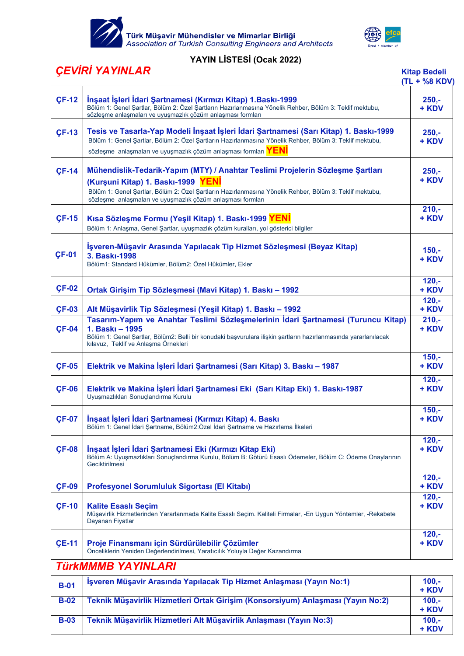

Türk Müşavir Mühendisler ve Mimarlar Birliği<br>Association of Turkish Consulting Engineers and Architects



## **YAYIN LİSTESİ (Ocak 2022)**

# *ÇEVİRİ YAYINLAR* **Kitap Bedeli**

 $\Gamma$ 

|                                                                                                                                                                                                                                                                                                                                                   | <b>Kitap Bedeli</b> |
|---------------------------------------------------------------------------------------------------------------------------------------------------------------------------------------------------------------------------------------------------------------------------------------------------------------------------------------------------|---------------------|
| <b>CEVIRI YAYINLAR</b>                                                                                                                                                                                                                                                                                                                            | $(TL + %8 KDV)$     |
| and the contract of the contract of the contract of the contract of the contract of the contract of the contract of the contract of the contract of the contract of the contract of the contract of the contract of the contra<br>the contract of the contract of the contract of the contract of the contract of the contract of the contract of | - - -               |

| <b>CF-12</b> | İnşaat İşleri İdari Şartnamesi (Kırmızı Kitap) 1. Baskı-1999<br>Bölüm 1: Genel Şartlar, Bölüm 2: Özel Şartların Hazırlanmasına Yönelik Rehber, Bölüm 3: Teklif mektubu,<br>sözleşme anlaşmaları ve uyuşmazlık çözüm anlaşması formları                                                         | $250 -$<br>+ KDV  |
|--------------|------------------------------------------------------------------------------------------------------------------------------------------------------------------------------------------------------------------------------------------------------------------------------------------------|-------------------|
| <b>CF-13</b> | Tesis ve Tasarla-Yap Modeli İnşaat İşleri İdari Şartnamesi (Sarı Kitap) 1. Baskı-1999<br>Bölüm 1: Genel Şartlar, Bölüm 2: Özel Şartların Hazırlanmasına Yönelik Rehber, Bölüm 3: Teklif mektubu,<br>sözleşme anlaşmaları ve uyuşmazlık çözüm anlaşması formları <b>YENİ</b>                    | $250 -$<br>+ KDV  |
| <b>CF-14</b> | Mühendislik-Tedarik-Yapım (MTY) / Anahtar Teslimi Projelerin Sözleşme Şartları<br>(Kurşuni Kitap) 1. Baskı-1999 YENI<br>Bölüm 1: Genel Şartlar, Bölüm 2: Özel Şartların Hazırlanmasına Yönelik Rehber, Bölüm 3: Teklif mektubu,<br>sözleşme anlaşmaları ve uyuşmazlık çözüm anlaşması formları | $250,-$<br>+ KDV  |
| <b>CF-15</b> | Kısa Sözleşme Formu (Yeşil Kitap) 1. Baskı-1999 YENI<br>Bölüm 1: Anlaşma, Genel Şartlar, uyuşmazlık çözüm kuralları, yol gösterici bilgiler                                                                                                                                                    | $210,-$<br>+ KDV  |
| <b>CF-01</b> | İşveren-Müşavir Arasında Yapılacak Tip Hizmet Sözleşmesi (Beyaz Kitap)<br>3. Baskı-1998<br>Bölüm1: Standard Hükümler, Bölüm2: Özel Hükümler, Ekler                                                                                                                                             | $150,-$<br>+ KDV  |
| <b>CF-02</b> | Ortak Girişim Tip Sözleşmesi (Mavi Kitap) 1. Baskı - 1992                                                                                                                                                                                                                                      | $120,-$<br>+ KDV  |
| <b>CF-03</b> | Alt Müşavirlik Tip Sözleşmesi (Yeşil Kitap) 1. Baskı - 1992                                                                                                                                                                                                                                    | $120,-$<br>+ KDV  |
| <b>CF-04</b> | Tasarım-Yapım ve Anahtar Teslimi Sözleşmelerinin İdari Şartnamesi (Turuncu Kitap)<br>1. Baskı - 1995<br>Bölüm 1: Genel Şartlar, Bölüm2: Belli bir konudaki başvurulara ilişkin şartların hazırlanmasında yararlanılacak<br>kılavuz, Teklif ve Anlaşma Örnekleri                                | $210,-$<br>+ KDV  |
| <b>CF-05</b> | Elektrik ve Makina İşleri İdari Şartnamesi (Sarı Kitap) 3. Baskı - 1987                                                                                                                                                                                                                        | $150,-$<br>+ KDV  |
| <b>CF-06</b> | Elektrik ve Makina İşleri İdari Şartnamesi Eki (Sarı Kitap Eki) 1. Baskı-1987<br>Uyuşmazlıkları Sonuçlandırma Kurulu                                                                                                                                                                           | $120,-$<br>+ KDV  |
| <b>CF-07</b> | İnşaat İşleri İdari Şartnamesi (Kırmızı Kitap) 4. Baskı<br>Bölüm 1: Genel İdari Şartname, Bölüm2:Özel İdari Şartname ve Hazırlama İlkeleri                                                                                                                                                     | $150,-$<br>+ KDV  |
| <b>CF-08</b> | İnşaat İşleri İdari Şartnamesi Eki (Kırmızı Kitap Eki)<br>Bölüm A: Uyuşmazlıkları Sonuçlandırma Kurulu, Bölüm B: Götürü Esaslı Ödemeler, Bölüm C: Ödeme Onaylarının<br>Geciktirilmesi                                                                                                          | $120, -$<br>+ KDV |
| <b>CF-09</b> | Profesyonel Sorumluluk Sigortası (El Kitabı)                                                                                                                                                                                                                                                   | $120,-$<br>+ KDV  |
| <b>CF-10</b> | <b>Kalite Esaslı Seçim</b><br>Müşavirlik Hizmetlerinden Yararlanmada Kalite Esaslı Seçim. Kaliteli Firmalar, -En Uygun Yöntemler, -Rekabete<br>Dayanan Fiyatlar                                                                                                                                | $120,-$<br>+ KDV  |
| <b>CE-11</b> | Proje Finansmanı için Sürdürülebilir Çözümler<br>Önceliklerin Yeniden Değerlendirilmesi, Yaratıcılık Yoluyla Değer Kazandırma                                                                                                                                                                  | $120,-$<br>+ KDV  |
|              | <b>TürkMMMMD VAVINI ADI</b>                                                                                                                                                                                                                                                                    |                   |

## *TürkMMMB YAYINLARI*

| $B-01$      | İşveren Müşavir Arasında Yapılacak Tip Hizmet Anlaşması (Yayın No:1)            | $100.-$<br>+ KDV |
|-------------|---------------------------------------------------------------------------------|------------------|
| $B-02$      | Teknik Müşavirlik Hizmetleri Ortak Girişim (Konsorsiyum) Anlaşması (Yayın No:2) | $100,-$<br>+ KDV |
| <b>B-03</b> | Teknik Müşavirlik Hizmetleri Alt Müşavirlik Anlaşması (Yayın No:3)              | $100,-$<br>+ KDV |